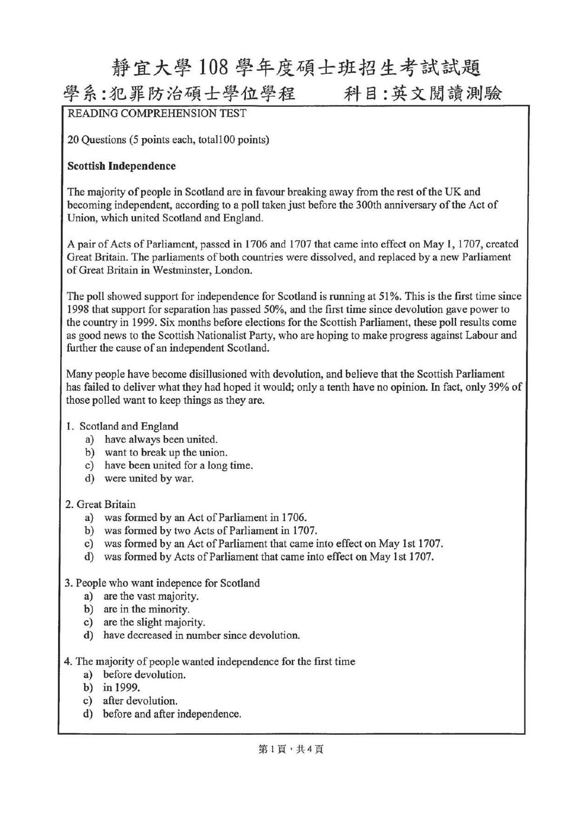## 靜宜大學 <sup>108</sup> 學年度碩士班招生考試試題

### 學系:犯罪防治碩士學位學程 科目:英文閱讀測驗

READING COMPREHENSION TEST

20 Questions (5 points each, totall00 points)

### Scottisb Independence

The majority of people in Scotland are in favour breaking away from the rest of the UK and becoming independent, according to a poll taken just before the 300th anniversary of the Act of Union, which united Scotland and England.

A pair of Acts of Parliament, passed in 1706 and 1707 that came into effect on May 1, 1707, created Great Britain. The parliaments of both countries were dissolved, and replaced by a new Parliament of Great Britain in Westminster, London.

The poll showed support for independence for Scotland is running at 51%. This is the first time since 1998 that support for separation has passed 50%, and the first time since devolution gave power to the country in 1999. Six months before elections for the Scottish Parliament, these pol1 results come as good news to the Scottish Nationalist Party, who are hoping to make progress against Labour and further the cause of an independent Scotland.

Many people have become disiIlusioned with devolution, and believe that the Scottish Parliament has failed to deliver what they had hoped it would; only a tenth have no opinion. In fact, only 39% of those polled want to keep things as they are.

### 1. Scotland and England

- a) have always been united.
- b) want to break up the union.
- c) have been united for a long time.
- d) were united by war.

### 2. Great Britain

- a) was formed by an Act of Parliament in 1706.
- b) was formed by two Acts of Parliament in 1707.
- c) was formed by an Act of Parliament that came into effect on May 1st 1707.
- d) was formed by Acts of Parliament that came into effect on May 1st 1707.

### 3. People who want indepence for Scotland

- a) are the vast majority.
- b) are in the minority.
- c) are the slight majority.
- d) have decreased in number since devolution.

4. The majority of people wanted independence for the first time

- a) before devolution.
- b) in 1999.
- c) after devolution.
- d) before and after independence.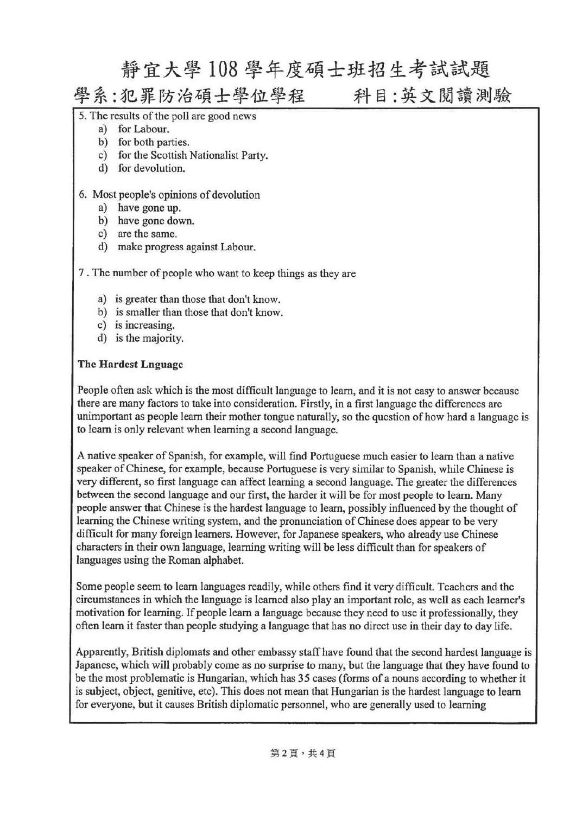### 靜宜大學 <sup>108</sup> 學年度碩士班招生考試試題

學系:犯罪防治碩士學位學程 科目:英文閱讀測驗

- 5. The results of the poll are good news
	- a) for Labour.
		- b) for both parties.
		- c) for the Scottish Nationalist Party.
		- d) for devolution.

#### 6. Most people's opinions of devolution

- a) have gone up.
- b) have gone down.
- c) are the same.
- make progress against Labour.

7 . The number of people who want to keep things as they are

- a) is greater than those that don't know.
- b) is smaller than those that don't know.
- c) is increasing.
- d) is the majority.

#### The Hardest Lnguage

People often ask which is the most difficult language to leam, and it is not easy to answer because there are many factors to take into consideration. Firstly, in a first language the differences are unimportant as people learn their mother tongue naturally, so the question of how hard a language is to leam is on1y relevant when learning a second language.

A native speaker of Spanish, for example, will fmd Portuguese much easier to learn than a native speaker of Chinese, for example, because Portuguese is very similar to Spanish, while Chinese is very different, so first language can affect learning a second language. The greater the differences between the second language and our first, the harder it will be for most people to 1earn. Many people answer that Chinese is the hardest language to learn, possibly influenced by the thought of learning the Chinese writing system, and the pronunciation of Chinese does appear to be very difficult for many foreign learners. However, for Japanese speakers, who already use Chinese characters in their own language, learning writing will be less difficult than for speakers of languages using the Roman alphabet.

Some people seem to learn languages readily, while others find it very difficult. Teachers and the circumstances in which the language is leamed a1so play an important role, as well as each leamer's motivation for learning. If people leam a language because they need to use it professionally, they often learn it faster than people studying a language that has no direct use in their day to day life.

Apparently, British diplomats and other embassy staff have found that the second hardest language is Japanese, which will probably come as no surprise to many, but the language that they have found to be the most problematic is Hungarian, which has 35 cases (forms of a nouns according to whether it is subject, object, genitive, etc). This does not mean that Hungarian is the hardest language to leam for everyone, but it causes British diplomatic personnel, who are generally used to learning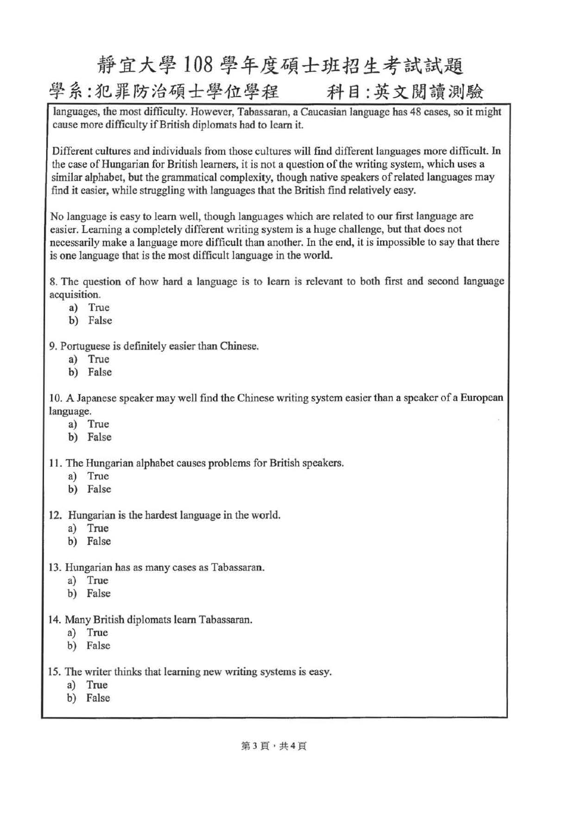# 靜宜大學 <sup>108</sup> 學年度碩士班招生考試試題 學系:犯罪防治碩士學位學程 科目:英文閱讀測驗

languages, the most difficulty. However, Tabassaran, a Caucasian language has 48 cases, so it might cause more difficulty if British diplomats had to learn it.

Different cultures and individuals from those cultures will find different languages more difficult. In the case of Hungarian for British learners, it is not a question of the writing system, which uses a similar alphabet, but the grammatical complexity, though native speakers of related languages may find it easier, while struggling with languages that the British find relatively easy.

No language is easy to learn well, though languages which are related to our first language are easier. Learning a completely different writing system is a huge challenge, but that does not necessarily make a language more difficult than another. In the end, it is impossible to say that there is one language that is the most difficult language in the world.

8. The question of how hard a language is to learn is relevant to both first and second language acquisition.

- a) True
- b) False
- 9. Portuguese is definitely easier than Chinese.
	- a) True
	- b) False

10. A Japanese speaker may well find the Chinese writing system easier than a speaker of a European language.

- a) True
- b) False

11. The Hungarian alphabet causes problems for British speakers.

- a) True
- b) False
- 12. Hungarian is the hardest language in the world.
	- a) True
	- b) False
- 13. Hungarian has as many cases as Tabassaran.
	- a) True
	- b) False
- 14. Many British diplomats leam Tabassaran.
	- a) True
	- b) False
- 15. The writer thinks that learning new writing systems is easy.
	- a) True
	- b) False